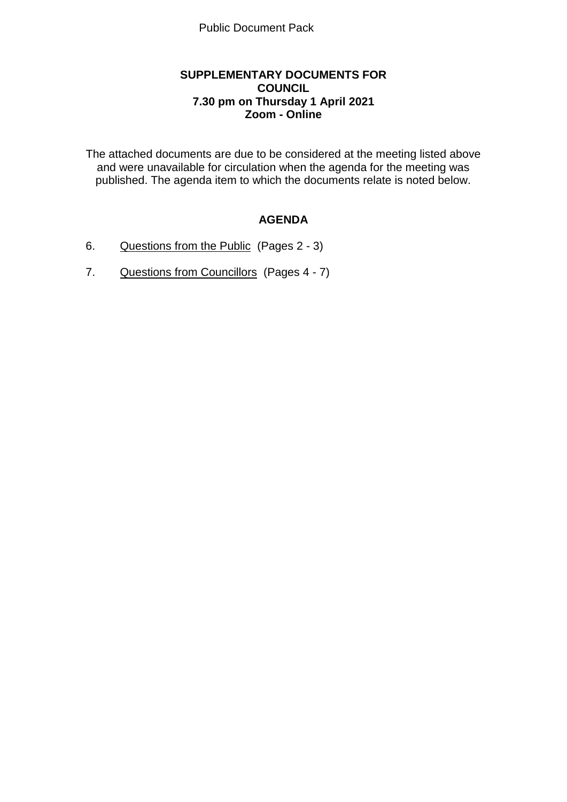### **SUPPLEMENTARY DOCUMENTS FOR COUNCIL 7.30 pm on Thursday 1 April 2021 Zoom - Online**

The attached documents are due to be considered at the meeting listed above and were unavailable for circulation when the agenda for the meeting was published. The agenda item to which the documents relate is noted below.

# **AGENDA**

- 6. Questions from the Public (Pages 2 3)
- 7. Questions from Councillors (Pages 4 7)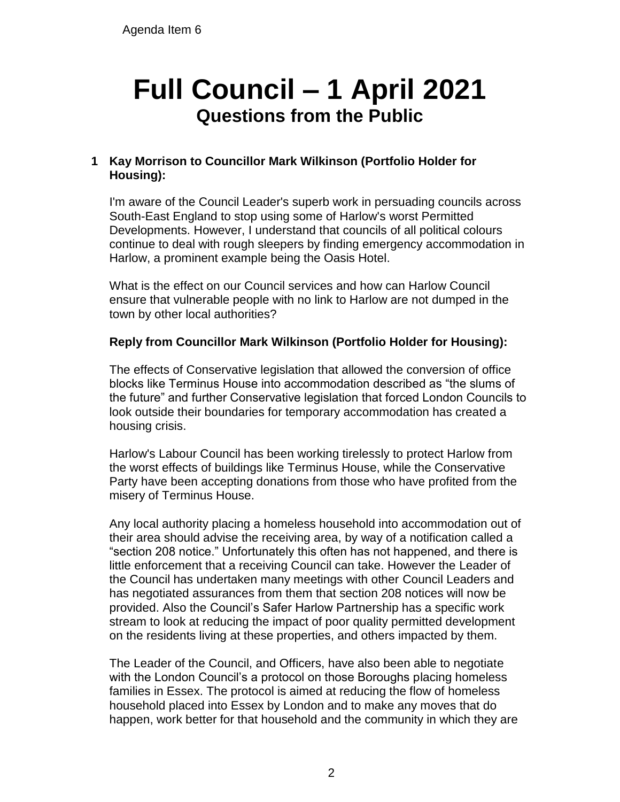# **Full Council – 1 April 2021 Questions from the Public**

# **1 Kay Morrison to Councillor Mark Wilkinson (Portfolio Holder for Housing):**

I'm aware of the Council Leader's superb work in persuading councils across South-East England to stop using some of Harlow's worst Permitted Developments. However, I understand that councils of all political colours continue to deal with rough sleepers by finding emergency accommodation in Harlow, a prominent example being the Oasis Hotel.

What is the effect on our Council services and how can Harlow Council ensure that vulnerable people with no link to Harlow are not dumped in the town by other local authorities?

## **Reply from Councillor Mark Wilkinson (Portfolio Holder for Housing):**

The effects of Conservative legislation that allowed the conversion of office blocks like Terminus House into accommodation described as "the slums of the future" and further Conservative legislation that forced London Councils to look outside their boundaries for temporary accommodation has created a housing crisis.

Harlow's Labour Council has been working tirelessly to protect Harlow from the worst effects of buildings like Terminus House, while the Conservative Party have been accepting donations from those who have profited from the misery of Terminus House.

Any local authority placing a homeless household into accommodation out of their area should advise the receiving area, by way of a notification called a "section 208 notice." Unfortunately this often has not happened, and there is little enforcement that a receiving Council can take. However the Leader of the Council has undertaken many meetings with other Council Leaders and has negotiated assurances from them that section 208 notices will now be provided. Also the Council's Safer Harlow Partnership has a specific work stream to look at reducing the impact of poor quality permitted development on the residents living at these properties, and others impacted by them.

The Leader of the Council, and Officers, have also been able to negotiate with the London Council's a protocol on those Boroughs placing homeless families in Essex. The protocol is aimed at reducing the flow of homeless household placed into Essex by London and to make any moves that do happen, work better for that household and the community in which they are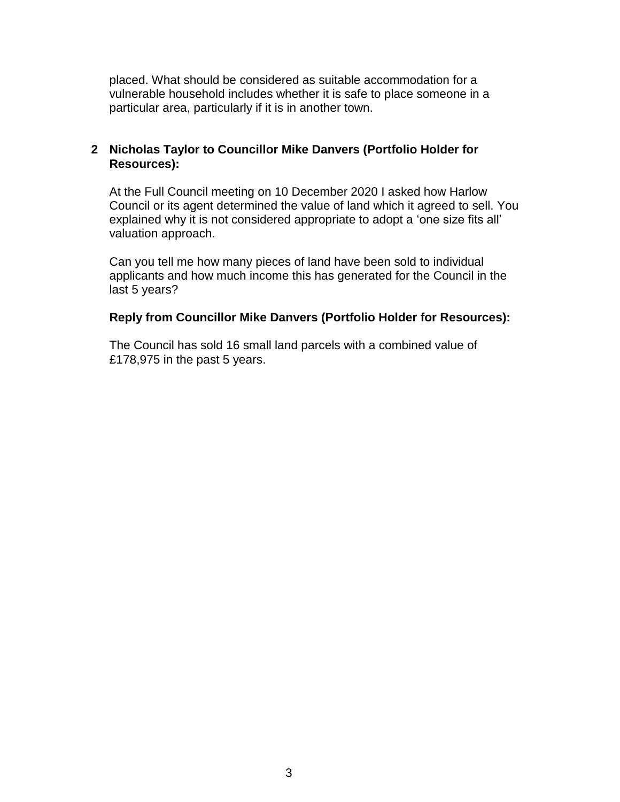placed. What should be considered as suitable accommodation for a vulnerable household includes whether it is safe to place someone in a particular area, particularly if it is in another town.

## **2 Nicholas Taylor to Councillor Mike Danvers (Portfolio Holder for Resources):**

At the Full Council meeting on 10 December 2020 I asked how Harlow Council or its agent determined the value of land which it agreed to sell. You explained why it is not considered appropriate to adopt a 'one size fits all' valuation approach.

Can you tell me how many pieces of land have been sold to individual applicants and how much income this has generated for the Council in the last 5 years?

### **Reply from Councillor Mike Danvers (Portfolio Holder for Resources):**

The Council has sold 16 small land parcels with a combined value of £178,975 in the past 5 years.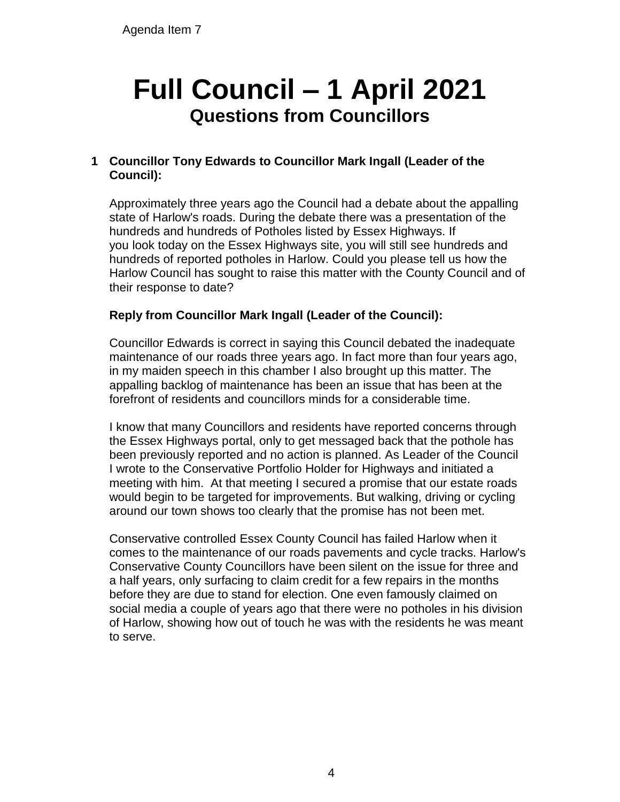# **Full Council – 1 April 2021 Questions from Councillors**

# **1 Councillor Tony Edwards to Councillor Mark Ingall (Leader of the Council):**

Approximately three years ago the Council had a debate about the appalling state of Harlow's roads. During the debate there was a presentation of the hundreds and hundreds of Potholes listed by Essex Highways. If you look today on the Essex Highways site, you will still see hundreds and hundreds of reported potholes in Harlow. Could you please tell us how the Harlow Council has sought to raise this matter with the County Council and of their response to date?

# **Reply from Councillor Mark Ingall (Leader of the Council):**

Councillor Edwards is correct in saying this Council debated the inadequate maintenance of our roads three years ago. In fact more than four years ago, in my maiden speech in this chamber I also brought up this matter. The appalling backlog of maintenance has been an issue that has been at the forefront of residents and councillors minds for a considerable time.

I know that many Councillors and residents have reported concerns through the Essex Highways portal, only to get messaged back that the pothole has been previously reported and no action is planned. As Leader of the Council I wrote to the Conservative Portfolio Holder for Highways and initiated a meeting with him. At that meeting I secured a promise that our estate roads would begin to be targeted for improvements. But walking, driving or cycling around our town shows too clearly that the promise has not been met.

Conservative controlled Essex County Council has failed Harlow when it comes to the maintenance of our roads pavements and cycle tracks. Harlow's Conservative County Councillors have been silent on the issue for three and a half years, only surfacing to claim credit for a few repairs in the months before they are due to stand for election. One even famously claimed on social media a couple of years ago that there were no potholes in his division of Harlow, showing how out of touch he was with the residents he was meant to serve.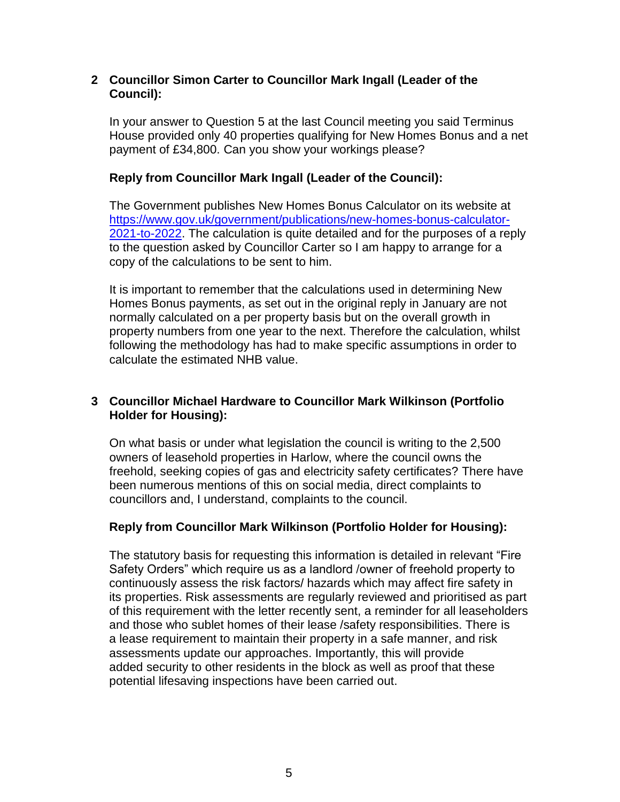## **2 Councillor Simon Carter to Councillor Mark Ingall (Leader of the Council):**

In your answer to Question 5 at the last Council meeting you said Terminus House provided only 40 properties qualifying for New Homes Bonus and a net payment of £34,800. Can you show your workings please?

## **Reply from Councillor Mark Ingall (Leader of the Council):**

The Government publishes New Homes Bonus Calculator on its website at [https://www.gov.uk/government/publications/new-homes-bonus-calculator-](https://www.gov.uk/government/publications/new-homes-bonus-calculator-2021-to-2022)[2021-to-2022.](https://www.gov.uk/government/publications/new-homes-bonus-calculator-2021-to-2022) The calculation is quite detailed and for the purposes of a reply to the question asked by Councillor Carter so I am happy to arrange for a copy of the calculations to be sent to him.

It is important to remember that the calculations used in determining New Homes Bonus payments, as set out in the original reply in January are not normally calculated on a per property basis but on the overall growth in property numbers from one year to the next. Therefore the calculation, whilst following the methodology has had to make specific assumptions in order to calculate the estimated NHB value.

## **3 Councillor Michael Hardware to Councillor Mark Wilkinson (Portfolio Holder for Housing):**

On what basis or under what legislation the council is writing to the 2,500 owners of leasehold properties in Harlow, where the council owns the freehold, seeking copies of gas and electricity safety certificates? There have been numerous mentions of this on social media, direct complaints to councillors and, I understand, complaints to the council.

### **Reply from Councillor Mark Wilkinson (Portfolio Holder for Housing):**

The statutory basis for requesting this information is detailed in relevant "Fire Safety Orders" which require us as a landlord /owner of freehold property to continuously assess the risk factors/ hazards which may affect fire safety in its properties. Risk assessments are regularly reviewed and prioritised as part of this requirement with the letter recently sent, a reminder for all leaseholders and those who sublet homes of their lease /safety responsibilities. There is a lease requirement to maintain their property in a safe manner, and risk assessments update our approaches. Importantly, this will provide added security to other residents in the block as well as proof that these potential lifesaving inspections have been carried out.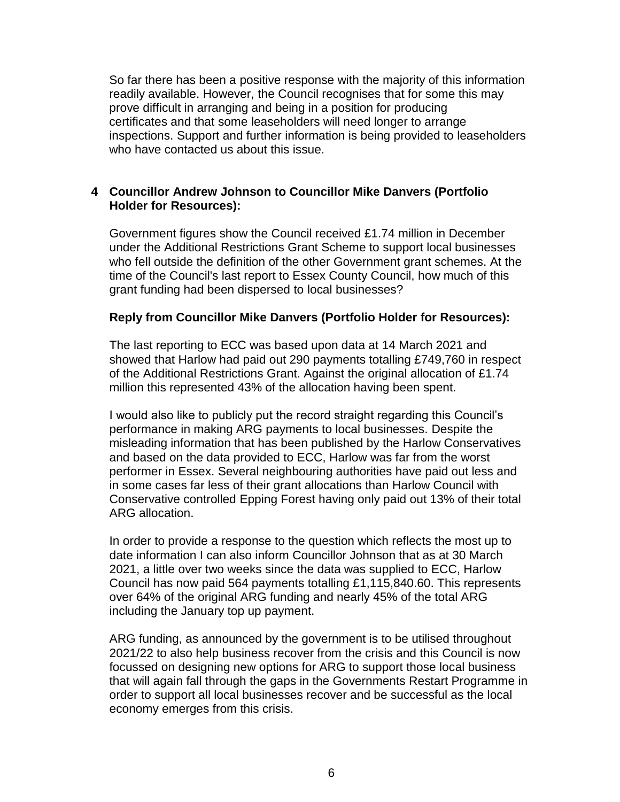So far there has been a positive response with the majority of this information readily available. However, the Council recognises that for some this may prove difficult in arranging and being in a position for producing certificates and that some leaseholders will need longer to arrange inspections. Support and further information is being provided to leaseholders who have contacted us about this issue.

## **4 Councillor Andrew Johnson to Councillor Mike Danvers (Portfolio Holder for Resources):**

Government figures show the Council received £1.74 million in December under the Additional Restrictions Grant Scheme to support local businesses who fell outside the definition of the other Government grant schemes. At the time of the Council's last report to Essex County Council, how much of this grant funding had been dispersed to local businesses?

### **Reply from Councillor Mike Danvers (Portfolio Holder for Resources):**

The last reporting to ECC was based upon data at 14 March 2021 and showed that Harlow had paid out 290 payments totalling £749,760 in respect of the Additional Restrictions Grant. Against the original allocation of £1.74 million this represented 43% of the allocation having been spent.

I would also like to publicly put the record straight regarding this Council's performance in making ARG payments to local businesses. Despite the misleading information that has been published by the Harlow Conservatives and based on the data provided to ECC, Harlow was far from the worst performer in Essex. Several neighbouring authorities have paid out less and in some cases far less of their grant allocations than Harlow Council with Conservative controlled Epping Forest having only paid out 13% of their total ARG allocation.

In order to provide a response to the question which reflects the most up to date information I can also inform Councillor Johnson that as at 30 March 2021, a little over two weeks since the data was supplied to ECC, Harlow Council has now paid 564 payments totalling £1,115,840.60. This represents over 64% of the original ARG funding and nearly 45% of the total ARG including the January top up payment.

ARG funding, as announced by the government is to be utilised throughout 2021/22 to also help business recover from the crisis and this Council is now focussed on designing new options for ARG to support those local business that will again fall through the gaps in the Governments Restart Programme in order to support all local businesses recover and be successful as the local economy emerges from this crisis.